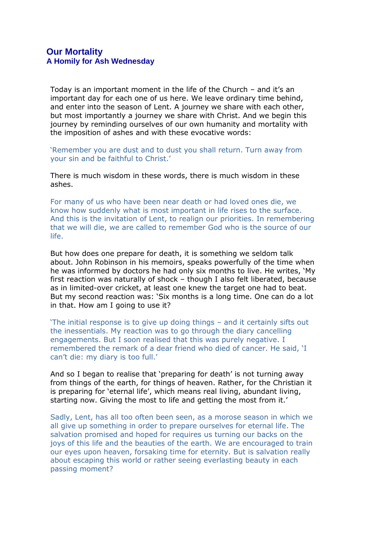Today is an important moment in the life of the Church – and it's an important day for each one of us here. We leave ordinary time behind, and enter into the season of Lent. A journey we share with each other, but most importantly a journey we share with Christ. And we begin this journey by reminding ourselves of our own humanity and mortality with the imposition of ashes and with these evocative words:

'Remember you are dust and to dust you shall return. Turn away from your sin and be faithful to Christ.'

There is much wisdom in these words, there is much wisdom in these ashes.

For many of us who have been near death or had loved ones die, we know how suddenly what is most important in life rises to the surface. And this is the invitation of Lent, to realign our priorities. In remembering that we will die, we are called to remember God who is the source of our life.

But how does one prepare for death, it is something we seldom talk about. John Robinson in his memoirs, speaks powerfully of the time when he was informed by doctors he had only six months to live. He writes, 'My first reaction was naturally of shock – though I also felt liberated, because as in limited-over cricket, at least one knew the target one had to beat. But my second reaction was: 'Six months is a long time. One can do a lot in that. How am I going to use it?

'The initial response is to give up doing things – and it certainly sifts out the inessentials. My reaction was to go through the diary cancelling engagements. But I soon realised that this was purely negative. I remembered the remark of a dear friend who died of cancer. He said, 'I can't die: my diary is too full.'

And so I began to realise that 'preparing for death' is not turning away from things of the earth, for things of heaven. Rather, for the Christian it is preparing for 'eternal life', which means real living, abundant living, starting now. Giving the most to life and getting the most from it.'

Sadly, Lent, has all too often been seen, as a morose season in which we all give up something in order to prepare ourselves for eternal life. The salvation promised and hoped for requires us turning our backs on the joys of this life and the beauties of the earth. We are encouraged to train our eyes upon heaven, forsaking time for eternity. But is salvation really about escaping this world or rather seeing everlasting beauty in each passing moment?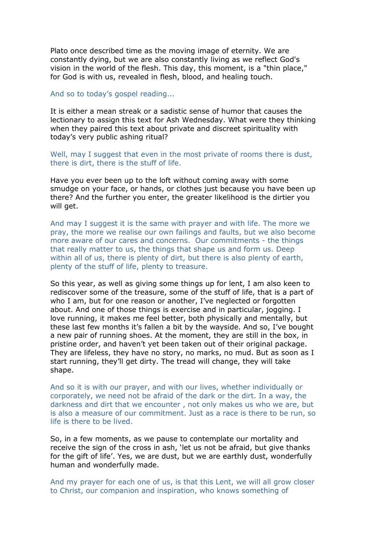Plato once described time as the moving image of eternity. We are constantly dying, but we are also constantly living as we reflect God's vision in the world of the flesh. This day, this moment, is a "thin place," for God is with us, revealed in flesh, blood, and healing touch.

And so to today's gospel reading...

It is either a mean streak or a sadistic sense of humor that causes the lectionary to assign this text for Ash Wednesday. What were they thinking when they paired this text about private and discreet spirituality with today's very public ashing ritual?

Well, may I suggest that even in the most private of rooms there is dust, there is dirt, there is the stuff of life.

Have you ever been up to the loft without coming away with some smudge on your face, or hands, or clothes just because you have been up there? And the further you enter, the greater likelihood is the dirtier you will get.

And may I suggest it is the same with prayer and with life. The more we pray, the more we realise our own failings and faults, but we also become more aware of our cares and concerns. Our commitments - the things that really matter to us, the things that shape us and form us. Deep within all of us, there is plenty of dirt, but there is also plenty of earth, plenty of the stuff of life, plenty to treasure.

So this year, as well as giving some things up for lent, I am also keen to rediscover some of the treasure, some of the stuff of life, that is a part of who I am, but for one reason or another, I've neglected or forgotten about. And one of those things is exercise and in particular, jogging. I love running, it makes me feel better, both physically and mentally, but these last few months it's fallen a bit by the wayside. And so, I've bought a new pair of running shoes. At the moment, they are still in the box, in pristine order, and haven't yet been taken out of their original package. They are lifeless, they have no story, no marks, no mud. But as soon as I start running, they'll get dirty. The tread will change, they will take shape.

And so it is with our prayer, and with our lives, whether individually or corporately, we need not be afraid of the dark or the dirt. In a way, the darkness and dirt that we encounter , not only makes us who we are, but is also a measure of our commitment. Just as a race is there to be run, so life is there to be lived.

So, in a few moments, as we pause to contemplate our mortality and receive the sign of the cross in ash, 'let us not be afraid, but give thanks for the gift of life'. Yes, we are dust, but we are earthly dust, wonderfully human and wonderfully made.

And my prayer for each one of us, is that this Lent, we will all grow closer to Christ, our companion and inspiration, who knows something of